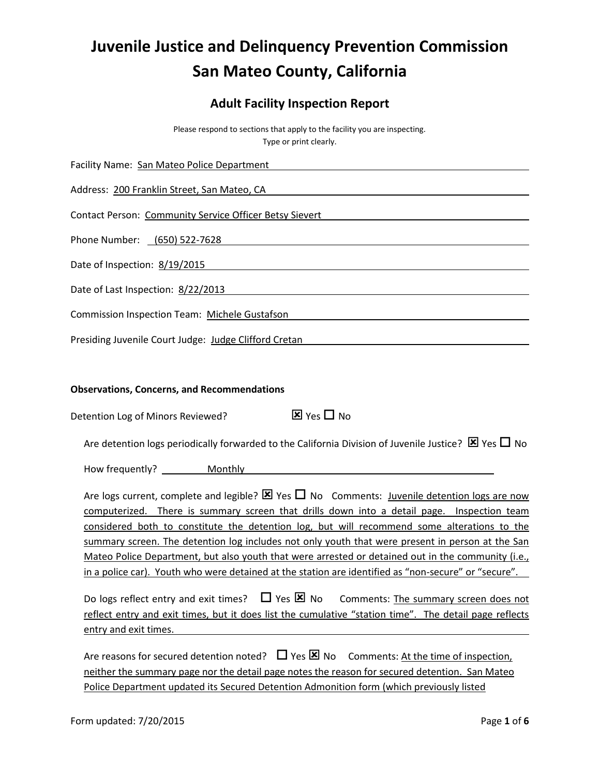# **Juvenile Justice and Delinquency Prevention Commission San Mateo County, California**

# **Adult Facility Inspection Report**

Please respond to sections that apply to the facility you are inspecting. Type or print clearly.

| Facility Name: San Mateo Police Department                                                                                                                                                                                                                                                                                                                                                                                                                                                                                                                                                                                 |
|----------------------------------------------------------------------------------------------------------------------------------------------------------------------------------------------------------------------------------------------------------------------------------------------------------------------------------------------------------------------------------------------------------------------------------------------------------------------------------------------------------------------------------------------------------------------------------------------------------------------------|
| Address: 200 Franklin Street, San Mateo, CA                                                                                                                                                                                                                                                                                                                                                                                                                                                                                                                                                                                |
| Contact Person: Community Service Officer Betsy Sievert New York New York New York New York New York New York                                                                                                                                                                                                                                                                                                                                                                                                                                                                                                              |
| Phone Number: <u>(650) 522-7628</u> example and the set of the set of the set of the set of the set of the set of the set of the set of the set of the set of the set of the set of the set of the set of the set of the set of the                                                                                                                                                                                                                                                                                                                                                                                        |
| Date of Inspection: 8/19/2015                                                                                                                                                                                                                                                                                                                                                                                                                                                                                                                                                                                              |
| Date of Last Inspection: 8/22/2013 Date: 0.01 and 0.01 and 0.01 and 0.01 and 0.01 and 0.01 and 0.01 and 0.01 a                                                                                                                                                                                                                                                                                                                                                                                                                                                                                                             |
| Commission Inspection Team: Michele Gustafson                                                                                                                                                                                                                                                                                                                                                                                                                                                                                                                                                                              |
| Presiding Juvenile Court Judge: Judge Clifford Cretan<br><u> 1980 - Johann Barn, mars ann an t-Amhain Aonaichte ann an t-Amhain Aonaichte ann an t-Amhain Aonaichte ann an</u>                                                                                                                                                                                                                                                                                                                                                                                                                                             |
| <b>Observations, Concerns, and Recommendations</b>                                                                                                                                                                                                                                                                                                                                                                                                                                                                                                                                                                         |
| $\overline{\mathbf{x}}$ Yes $\Box$ No<br>Detention Log of Minors Reviewed?                                                                                                                                                                                                                                                                                                                                                                                                                                                                                                                                                 |
| Are detention logs periodically forwarded to the California Division of Juvenile Justice? $\boxtimes$ Yes $\Box$ No                                                                                                                                                                                                                                                                                                                                                                                                                                                                                                        |
|                                                                                                                                                                                                                                                                                                                                                                                                                                                                                                                                                                                                                            |
| Are logs current, complete and legible? $\boxtimes$ Yes $\Box$ No Comments: Juvenile detention logs are now<br>computerized. There is summary screen that drills down into a detail page. Inspection team<br>considered both to constitute the detention log, but will recommend some alterations to the<br>summary screen. The detention log includes not only youth that were present in person at the San<br>Mateo Police Department, but also youth that were arrested or detained out in the community (i.e.,<br>in a police car). Youth who were detained at the station are identified as "non-secure" or "secure". |
| Do logs reflect entry and exit times? $\Box$ Yes $\boxtimes$ No<br>Comments: The summary screen does not<br>reflect entry and exit times, but it does list the cumulative "station time". The detail page reflects<br>entry and exit times.                                                                                                                                                                                                                                                                                                                                                                                |
| Are reasons for secured detention noted? $\Box$ Yes $\boxtimes$ No<br>Comments: At the time of inspection,<br>neither the summary page nor the detail page notes the reason for secured detention. San Mateo<br>Police Department updated its Secured Detention Admonition form (which previously listed                                                                                                                                                                                                                                                                                                                   |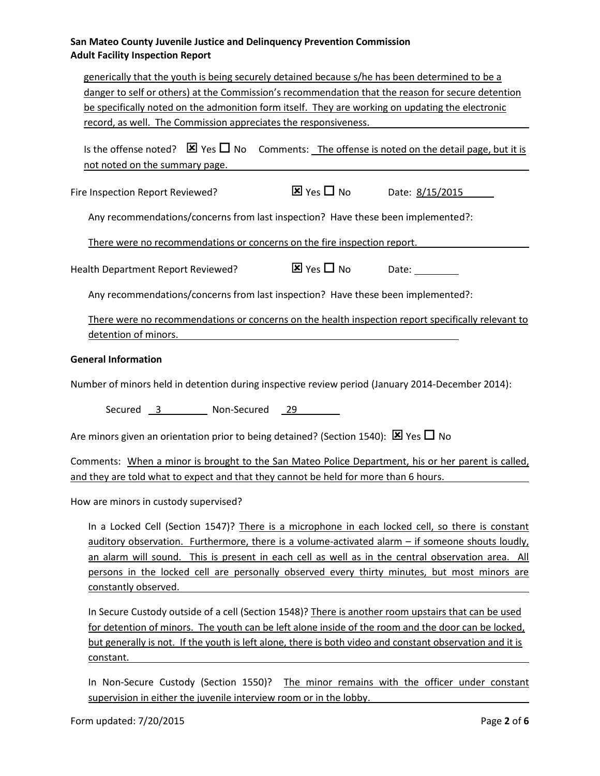# **San Mateo County Juvenile Justice and Delinquency Prevention Commission Adult Facility Inspection Report**

| generically that the youth is being securely detained because s/he has been determined to be a<br>danger to self or others) at the Commission's recommendation that the reason for secure detention<br>be specifically noted on the admonition form itself. They are working on updating the electronic<br>record, as well. The Commission appreciates the responsiveness.                                                        |                                                                  |
|-----------------------------------------------------------------------------------------------------------------------------------------------------------------------------------------------------------------------------------------------------------------------------------------------------------------------------------------------------------------------------------------------------------------------------------|------------------------------------------------------------------|
| Is the offense noted? $\boxtimes$ Yes $\square$ No Comments: The offense is noted on the detail page, but it is<br>not noted on the summary page.                                                                                                                                                                                                                                                                                 |                                                                  |
| Fire Inspection Report Reviewed?                                                                                                                                                                                                                                                                                                                                                                                                  | $\overline{\mathbf{X}}$ Yes $\Box$ No Date: $\frac{8}{15}{2015}$ |
| Any recommendations/concerns from last inspection? Have these been implemented?:                                                                                                                                                                                                                                                                                                                                                  |                                                                  |
| There were no recommendations or concerns on the fire inspection report.                                                                                                                                                                                                                                                                                                                                                          |                                                                  |
| Health Department Report Reviewed?                                                                                                                                                                                                                                                                                                                                                                                                |                                                                  |
| Any recommendations/concerns from last inspection? Have these been implemented?:                                                                                                                                                                                                                                                                                                                                                  |                                                                  |
| There were no recommendations or concerns on the health inspection report specifically relevant to<br>detention of minors.                                                                                                                                                                                                                                                                                                        |                                                                  |
| <b>General Information</b>                                                                                                                                                                                                                                                                                                                                                                                                        |                                                                  |
| Number of minors held in detention during inspective review period (January 2014-December 2014):                                                                                                                                                                                                                                                                                                                                  |                                                                  |
| Secured 3 Non-Secured 29                                                                                                                                                                                                                                                                                                                                                                                                          |                                                                  |
| Are minors given an orientation prior to being detained? (Section 1540): $\boxtimes$ Yes $\Box$ No                                                                                                                                                                                                                                                                                                                                |                                                                  |
| Comments: When a minor is brought to the San Mateo Police Department, his or her parent is called,<br>and they are told what to expect and that they cannot be held for more than 6 hours.                                                                                                                                                                                                                                        |                                                                  |
| How are minors in custody supervised?                                                                                                                                                                                                                                                                                                                                                                                             |                                                                  |
| In a Locked Cell (Section 1547)? There is a microphone in each locked cell, so there is constant<br>auditory observation. Furthermore, there is a volume-activated alarm - if someone shouts loudly,<br>an alarm will sound. This is present in each cell as well as in the central observation area. All<br>persons in the locked cell are personally observed every thirty minutes, but most minors are<br>constantly observed. |                                                                  |
| In Secure Custody outside of a cell (Section 1548)? There is another room upstairs that can be used<br>for detention of minors. The youth can be left alone inside of the room and the door can be locked,<br>but generally is not. If the youth is left alone, there is both video and constant observation and it is                                                                                                            |                                                                  |

constant.

In Non-Secure Custody (Section 1550)? The minor remains with the officer under constant supervision in either the juvenile interview room or in the lobby.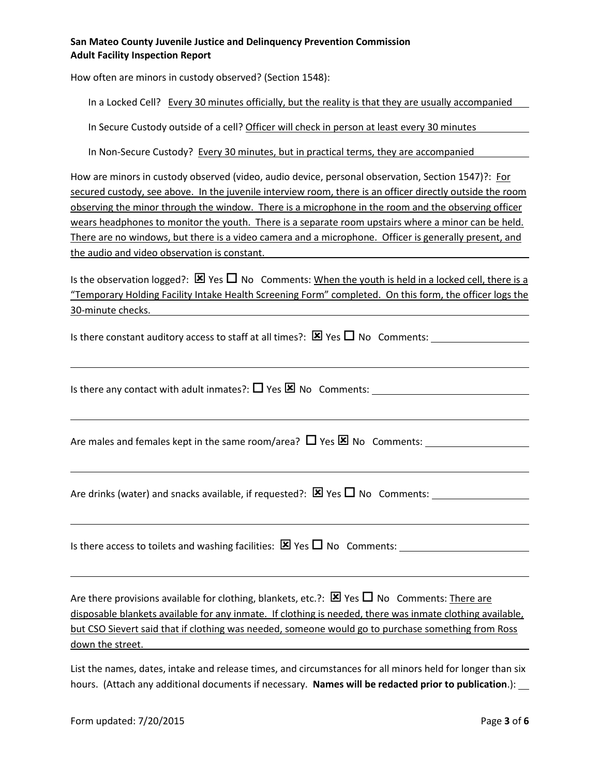## **San Mateo County Juvenile Justice and Delinquency Prevention Commission Adult Facility Inspection Report**

How often are minors in custody observed? (Section 1548):

In a Locked Cell? Every 30 minutes officially, but the reality is that they are usually accompanied

In Secure Custody outside of a cell? Officer will check in person at least every 30 minutes

In Non-Secure Custody? Every 30 minutes, but in practical terms, they are accompanied

How are minors in custody observed (video, audio device, personal observation, Section 1547)?: For secured custody, see above. In the juvenile interview room, there is an officer directly outside the room observing the minor through the window. There is a microphone in the room and the observing officer wears headphones to monitor the youth. There is a separate room upstairs where a minor can be held. There are no windows, but there is a video camera and a microphone. Officer is generally present, and the audio and video observation is constant.

Is the observation logged?:  $\boxtimes$  Yes  $\Box$  No Comments: When the youth is held in a locked cell, there is a "Temporary Holding Facility Intake Health Screening Form" completed. On this form, the officer logs the 30-minute checks.

Is there constant auditory access to staff at all times?:  $\boxtimes$  Yes  $\Box$  No Comments:

Is there any contact with adult inmates?:  $\Box$  Yes  $\boxtimes$  No Comments:

Are males and females kept in the same room/area?  $\Box$  Yes  $\boxtimes$  No Comments:

Are drinks (water) and snacks available, if requested?:  $\boxtimes$  Yes  $\Box$  No Comments:

Is there access to toilets and washing facilities: Yes No Comments:

Are there provisions available for clothing, blankets, etc.?:  $\boxtimes$  Yes  $\Box$  No Comments: There are disposable blankets available for any inmate. If clothing is needed, there was inmate clothing available, but CSO Sievert said that if clothing was needed, someone would go to purchase something from Ross down the street.

List the names, dates, intake and release times, and circumstances for all minors held for longer than six hours. (Attach any additional documents if necessary. **Names will be redacted prior to publication**.):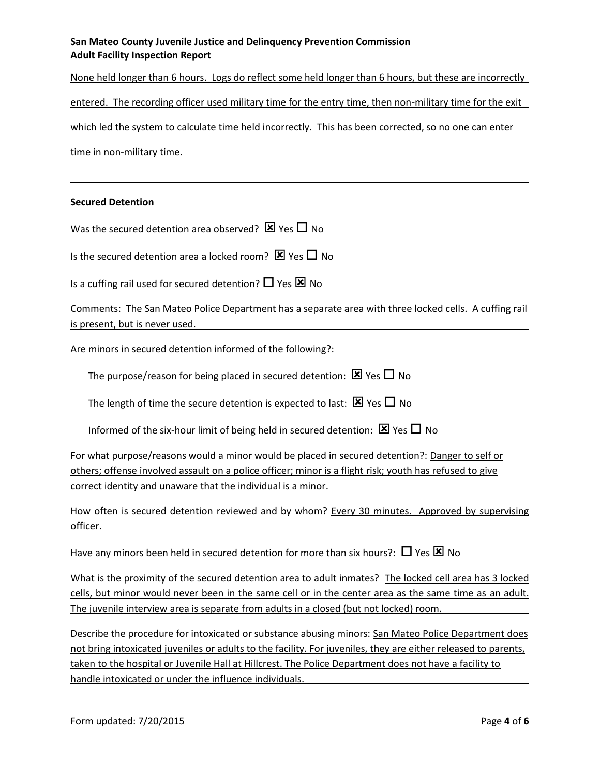## **San Mateo County Juvenile Justice and Delinquency Prevention Commission Adult Facility Inspection Report**

None held longer than 6 hours. Logs do reflect some held longer than 6 hours, but these are incorrectly entered. The recording officer used military time for the entry time, then non-military time for the exit which led the system to calculate time held incorrectly. This has been corrected, so no one can enter time in non-military time.

#### **Secured Detention**

Was the secured detention area observed?  $\boxtimes$  Yes  $\Box$  No

Is the secured detention area a locked room?  $\boxtimes$  Yes  $\Box$  No

Is a cuffing rail used for secured detention?  $\Box$  Yes  $\boxtimes$  No

Comments: The San Mateo Police Department has a separate area with three locked cells. A cuffing rail is present, but is never used.

Are minors in secured detention informed of the following?:

The purpose/reason for being placed in secured detention:  $\boxtimes$  Yes  $\Box$  No

The length of time the secure detention is expected to last:  $\boxtimes$  Yes  $\Box$  No

Informed of the six-hour limit of being held in secured detention:  $\boxtimes$  Yes  $\Box$  No

For what purpose/reasons would a minor would be placed in secured detention?: Danger to self or others; offense involved assault on a police officer; minor is a flight risk; youth has refused to give correct identity and unaware that the individual is a minor.

How often is secured detention reviewed and by whom? Every 30 minutes. Approved by supervising officer.

Have any minors been held in secured detention for more than six hours?:  $\Box$  Yes  $\boxtimes$  No

What is the proximity of the secured detention area to adult inmates? The locked cell area has 3 locked cells, but minor would never been in the same cell or in the center area as the same time as an adult. The juvenile interview area is separate from adults in a closed (but not locked) room.

Describe the procedure for intoxicated or substance abusing minors: San Mateo Police Department does not bring intoxicated juveniles or adults to the facility. For juveniles, they are either released to parents, taken to the hospital or Juvenile Hall at Hillcrest. The Police Department does not have a facility to handle intoxicated or under the influence individuals.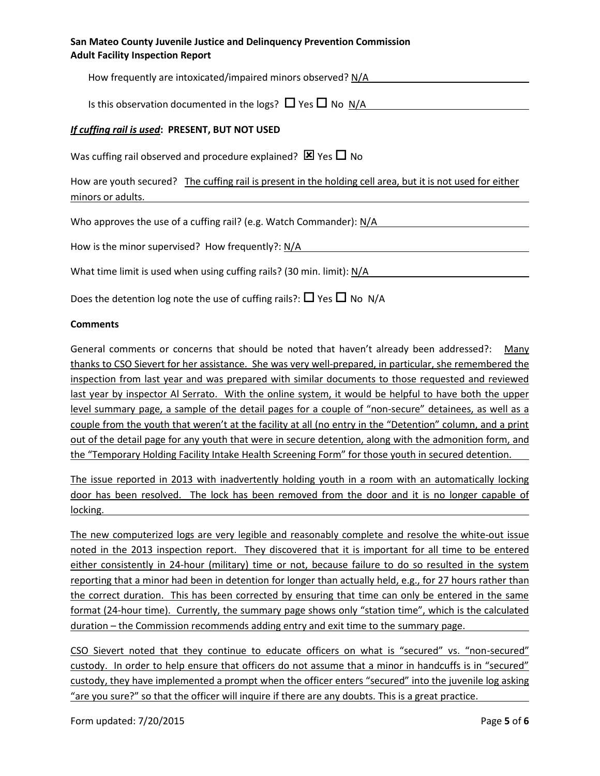| San Mateo County Juvenile Justice and Delinquency Prevention Commission |
|-------------------------------------------------------------------------|
| <b>Adult Facility Inspection Report</b>                                 |

| How frequently are intoxicated/impaired minors observed? N/A                                                                    |
|---------------------------------------------------------------------------------------------------------------------------------|
| Is this observation documented in the logs? $\Box$ Yes $\Box$ No N/A                                                            |
| If cuffing rail is used: PRESENT, BUT NOT USED                                                                                  |
| Was cuffing rail observed and procedure explained? $\boxtimes$ Yes $\Box$ No                                                    |
| How are youth secured? The cuffing rail is present in the holding cell area, but it is not used for either<br>minors or adults. |
| Who approves the use of a cuffing rail? (e.g. Watch Commander): N/A                                                             |
| How is the minor supervised? How frequently?: N/A                                                                               |
| What time limit is used when using cuffing rails? (30 min. limit): N/A                                                          |

Does the detention log note the use of cuffing rails?:  $\Box$  Yes  $\Box$  No N/A

#### **Comments**

General comments or concerns that should be noted that haven't already been addressed?: Many thanks to CSO Sievert for her assistance. She was very well-prepared, in particular, she remembered the inspection from last year and was prepared with similar documents to those requested and reviewed last year by inspector Al Serrato. With the online system, it would be helpful to have both the upper level summary page, a sample of the detail pages for a couple of "non-secure" detainees, as well as a couple from the youth that weren't at the facility at all (no entry in the "Detention" column, and a print out of the detail page for any youth that were in secure detention, along with the admonition form, and the "Temporary Holding Facility Intake Health Screening Form" for those youth in secured detention.

The issue reported in 2013 with inadvertently holding youth in a room with an automatically locking door has been resolved. The lock has been removed from the door and it is no longer capable of locking.

The new computerized logs are very legible and reasonably complete and resolve the white-out issue noted in the 2013 inspection report. They discovered that it is important for all time to be entered either consistently in 24-hour (military) time or not, because failure to do so resulted in the system reporting that a minor had been in detention for longer than actually held, e.g., for 27 hours rather than the correct duration. This has been corrected by ensuring that time can only be entered in the same format (24-hour time). Currently, the summary page shows only "station time", which is the calculated duration – the Commission recommends adding entry and exit time to the summary page.

CSO Sievert noted that they continue to educate officers on what is "secured" vs. "non-secured" custody. In order to help ensure that officers do not assume that a minor in handcuffs is in "secured" custody, they have implemented a prompt when the officer enters "secured" into the juvenile log asking "are you sure?" so that the officer will inquire if there are any doubts. This is a great practice.